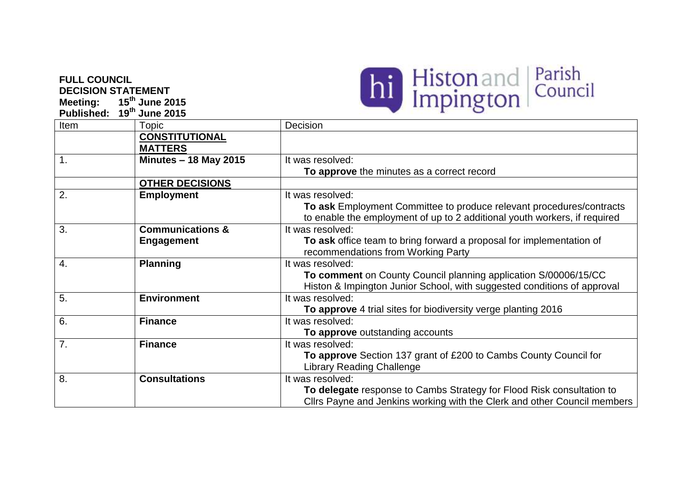## **FULL COUNCIL DECISION STATEMENT**

**Meeting: 15 th June 2015 Published: 19th June 2015**



| Item           | Topic                        | Decision                                                                  |
|----------------|------------------------------|---------------------------------------------------------------------------|
|                | <b>CONSTITUTIONAL</b>        |                                                                           |
|                | <b>MATTERS</b>               |                                                                           |
| 1.             | <b>Minutes - 18 May 2015</b> | It was resolved:                                                          |
|                |                              | To approve the minutes as a correct record                                |
|                | <b>OTHER DECISIONS</b>       |                                                                           |
| 2.             | <b>Employment</b>            | It was resolved:                                                          |
|                |                              | To ask Employment Committee to produce relevant procedures/contracts      |
|                |                              | to enable the employment of up to 2 additional youth workers, if required |
| 3.             | <b>Communications &amp;</b>  | It was resolved:                                                          |
|                | <b>Engagement</b>            | To ask office team to bring forward a proposal for implementation of      |
|                |                              | recommendations from Working Party                                        |
| 4.             | <b>Planning</b>              | It was resolved:                                                          |
|                |                              | To comment on County Council planning application S/00006/15/CC           |
|                |                              | Histon & Impington Junior School, with suggested conditions of approval   |
| 5.             | <b>Environment</b>           | It was resolved:                                                          |
|                |                              | To approve 4 trial sites for biodiversity verge planting 2016             |
| 6.             | <b>Finance</b>               | It was resolved:                                                          |
|                |                              | To approve outstanding accounts                                           |
| 7 <sub>1</sub> | <b>Finance</b>               | It was resolved:                                                          |
|                |                              | To approve Section 137 grant of £200 to Cambs County Council for          |
|                |                              | <b>Library Reading Challenge</b>                                          |
| 8.             | <b>Consultations</b>         | It was resolved:                                                          |
|                |                              | To delegate response to Cambs Strategy for Flood Risk consultation to     |
|                |                              | Cllrs Payne and Jenkins working with the Clerk and other Council members  |